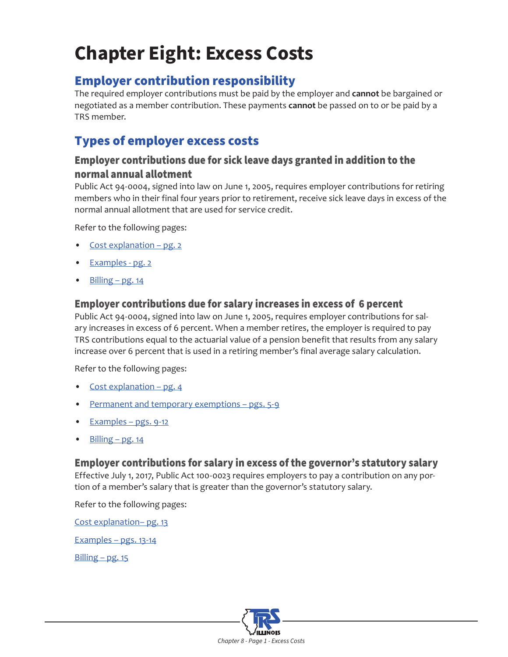# **Chapter Eight: Excess Costs**

# Employer contribution responsibility

The required employer contributions must be paid by the employer and **cannot** be bargained or negotiated as a member contribution. These payments **cannot** be passed on to or be paid by a TRS member.

# Types of employer excess costs

### Employer contributions due for sick leave days granted in addition to the normal annual allotment

Public Act 94-0004, signed into law on June 1, 2005, requires employer contributions for retiring members who in their final four years prior to retirement, receive sick leave days in excess of the normal annual allotment that are used for service credit.

Refer to the following pages:

- Cost explanation pg. 2
- Examples pg. [2](#page-1-0)
- [Billing pg. 14](#page-13-0)

#### Employer contributions due for salary increases in excess of 6 percent

Public Act 94-0004, signed into law on June 1, 2005, requires employer contributions for salary increases in excess of 6 percent. When a member retires, the employer is required to pay TRS contributions equal to the actuarial value of a pension benefit that results from any salary increase over 6 percent that is used in a retiring member's final average salary calculation.

Refer to the following pages:

- [Cost explanation pg. 4](#page-3-0)
- Permanent and temporary exemptions pgs. 5-9
- [Examples pgs.](#page-8-0) 9-12
- $Billing pg. 14$

#### Employer contributions for salary in excess of the governor's statutory salary

Effective July 1, 2017, Public Act 100-0023 requires employers to pay a contribution on any portion of a member's salary that is greater than the governor's statutory salary.

Refer to the following pages:

[Cost explanation– pg. 13](#page-12-0)

[Examples – pgs.](#page-12-0) 13-14

 $Billing - pg. 15$ 

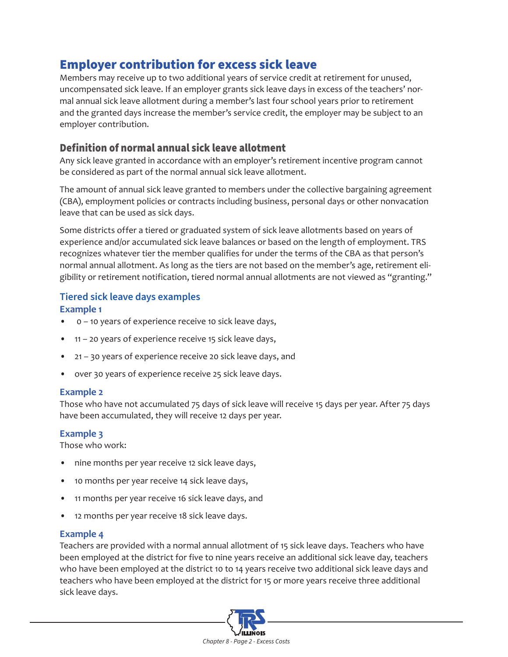# <span id="page-1-0"></span>Employer contribution for excess sick leave

Members may receive up to two additional years of service credit at retirement for unused, uncompensated sick leave. If an employer grants sick leave days in excess of the teachers' normal annual sick leave allotment during a member's last four school years prior to retirement and the granted days increase the member's service credit, the employer may be subject to an employer contribution.

#### Definition of normal annual sick leave allotment

Any sick leave granted in accordance with an employer's retirement incentive program cannot be considered as part of the normal annual sick leave allotment.

The amount of annual sick leave granted to members under the collective bargaining agreement (CBA), employment policies or contracts including business, personal days or other nonvacation leave that can be used as sick days.

Some districts offer a tiered or graduated system of sick leave allotments based on years of experience and/or accumulated sick leave balances or based on the length of employment. TRS recognizes whatever tier the member qualifies for under the terms of the CBA as that person's normal annual allotment. As long as the tiers are not based on the member's age, retirement eligibility or retirement notification, tiered normal annual allotments are not viewed as "granting."

#### **Tiered sick leave days examples**

#### **Example 1**

- 0 10 years of experience receive 10 sick leave days,
- 11 20 years of experience receive 15 sick leave days,
- 21 30 years of experience receive 20 sick leave days, and
- over 30 years of experience receive 25 sick leave days.

#### **Example 2**

Those who have not accumulated 75 days of sick leave will receive 15 days per year. After 75 days have been accumulated, they will receive 12 days per year.

#### **Example 3**

Those who work:

- nine months per year receive 12 sick leave days,
- 10 months per year receive 14 sick leave days,
- 11 months per year receive 16 sick leave days, and
- 12 months per year receive 18 sick leave days.

#### **Example 4**

Teachers are provided with a normal annual allotment of 15 sick leave days. Teachers who have been employed at the district for five to nine years receive an additional sick leave day, teachers who have been employed at the district 10 to 14 years receive two additional sick leave days and teachers who have been employed at the district for 15 or more years receive three additional sick leave days.

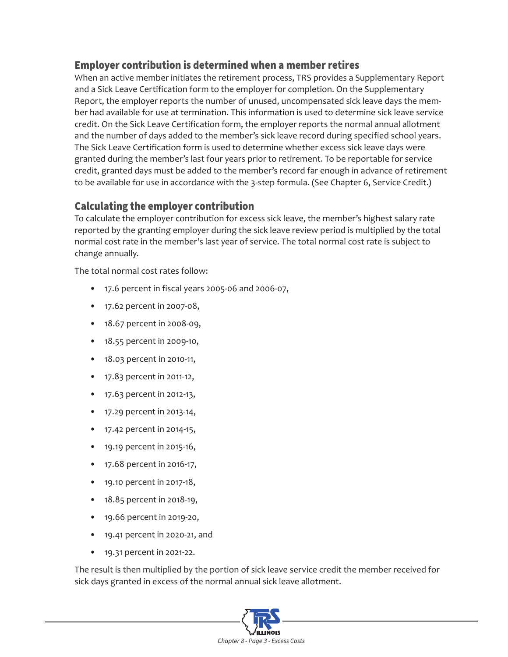### Employer contribution is determined when a member retires

When an active member initiates the retirement process, TRS provides a Supplementary Report and a Sick Leave Certification form to the employer for completion. On the Supplementary Report, the employer reports the number of unused, uncompensated sick leave days the member had available for use at termination. This information is used to determine sick leave service credit. On the Sick Leave Certification form, the employer reports the normal annual allotment and the number of days added to the member's sick leave record during specified school years. The Sick Leave Certification form is used to determine whether excess sick leave days were granted during the member's last four years prior to retirement. To be reportable for service credit, granted days must be added to the member's record far enough in advance of retirement to be available for use in accordance with the 3-step formula. (See Chapter 6, Service Credit.)

#### Calculating the employer contribution

To calculate the employer contribution for excess sick leave, the member's highest salary rate reported by the granting employer during the sick leave review period is multiplied by the total normal cost rate in the member's last year of service. The total normal cost rate is subject to change annually.

The total normal cost rates follow:

- 17.6 percent in fiscal years 2005-06 and 2006-07,
- 17.62 percent in 2007-08,
- 18.67 percent in 2008-09,
- 18.55 percent in 2009-10,
- 18.03 percent in 2010-11,
- 17.83 percent in 2011-12,
- 17.63 percent in 2012-13,
- 17.29 percent in 2013-14,
- 17.42 percent in 2014-15,
- 19.19 percent in 2015-16,
- 17.68 percent in 2016-17,
- 19.10 percent in 2017-18,
- 18.85 percent in 2018-19,
- 19.66 percent in 2019-20,
- 19.41 percent in 2020-21, and
- 19.31 percent in 2021-22.

The result is then multiplied by the portion of sick leave service credit the member received for sick days granted in excess of the normal annual sick leave allotment.

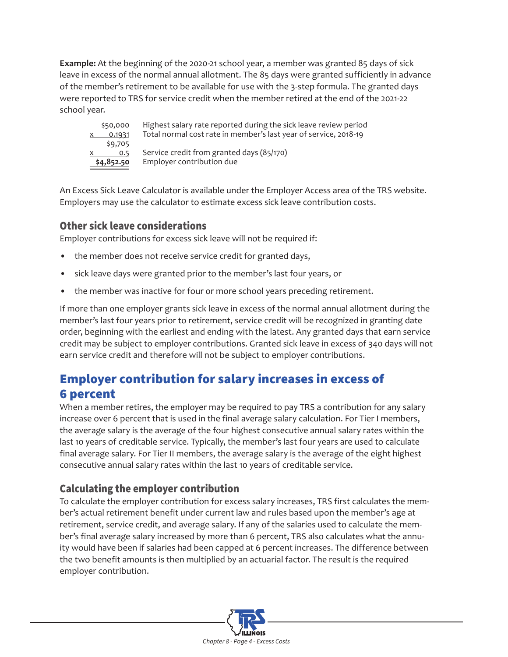<span id="page-3-0"></span>**Example:** At the beginning of the 2020-21 school year, a member was granted 85 days of sick leave in excess of the normal annual allotment. The 85 days were granted sufficiently in advance of the member's retirement to be available for use with the 3-step formula. The granted days were reported to TRS for service credit when the member retired at the end of the 2021-22 school year.



\$50,000 Highest salary rate reported during the sick leave review period  $x = 0.1931$  Total normal cost rate in member's last year of service, 2018-19  $0.5$  Service credit from granted days (85/170) **\$4,852.50** Employer contribution due

An Excess Sick Leave Calculator is available under the Employer Access area of the TRS website. Employers may use the calculator to estimate excess sick leave contribution costs.

## Other sick leave considerations

Employer contributions for excess sick leave will not be required if:

- the member does not receive service credit for granted days,
- sick leave days were granted prior to the member's last four years, or
- the member was inactive for four or more school years preceding retirement.

If more than one employer grants sick leave in excess of the normal annual allotment during the member's last four years prior to retirement, service credit will be recognized in granting date order, beginning with the earliest and ending with the latest. Any granted days that earn service credit may be subject to employer contributions. Granted sick leave in excess of 340 days will not earn service credit and therefore will not be subject to employer contributions.

# Employer contribution for salary increases in excess of 6 percent

When a member retires, the employer may be required to pay TRS a contribution for any salary increase over 6 percent that is used in the final average salary calculation. For Tier I members, the average salary is the average of the four highest consecutive annual salary rates within the last 10 years of creditable service. Typically, the member's last four years are used to calculate final average salary. For Tier II members, the average salary is the average of the eight highest consecutive annual salary rates within the last 10 years of creditable service.

# Calculating the employer contribution

To calculate the employer contribution for excess salary increases, TRS first calculates the member's actual retirement benefit under current law and rules based upon the member's age at retirement, service credit, and average salary. If any of the salaries used to calculate the member's final average salary increased by more than 6 percent, TRS also calculates what the annuity would have been if salaries had been capped at 6 percent increases. The difference between the two benefit amounts is then multiplied by an actuarial factor. The result is the required employer contribution.

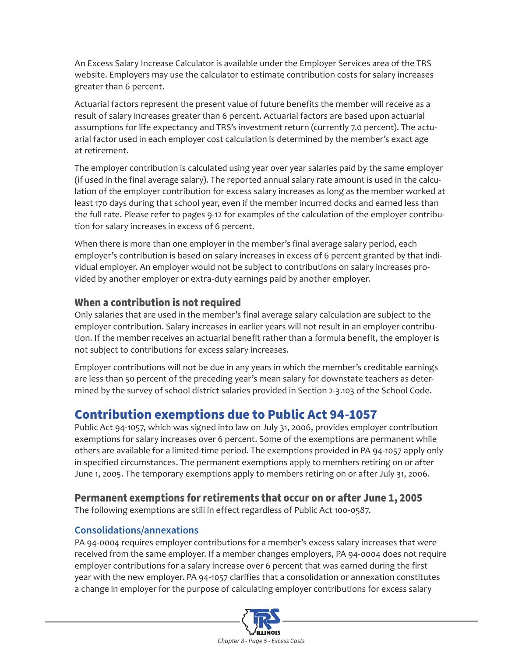<span id="page-4-0"></span>An Excess Salary Increase Calculator is available under the Employer Services area of the TRS website. Employers may use the calculator to estimate contribution costs for salary increases greater than 6 percent.

Actuarial factors represent the present value of future benefits the member will receive as a result of salary increases greater than 6 percent. Actuarial factors are based upon actuarial assumptions for life expectancy and TRS's investment return (currently 7.0 percent). The actuarial factor used in each employer cost calculation is determined by the member's exact age at retirement.

The employer contribution is calculated using year over year salaries paid by the same employer (if used in the final average salary). The reported annual salary rate amount is used in the calculation of the employer contribution for excess salary increases as long as the member worked at least 170 days during that school year, even if the member incurred docks and earned less than the full rate. Please refer to pages 9-12 for examples of the calculation of the employer contribution for salary increases in excess of 6 percent.

When there is more than one employer in the member's final average salary period, each employer's contribution is based on salary increases in excess of 6 percent granted by that individual employer. An employer would not be subject to contributions on salary increases provided by another employer or extra-duty earnings paid by another employer.

#### When a contribution is not required

Only salaries that are used in the member's final average salary calculation are subject to the employer contribution. Salary increases in earlier years will not result in an employer contribution. If the member receives an actuarial benefit rather than a formula benefit, the employer is not subject to contributions for excess salary increases.

Employer contributions will not be due in any years in which the member's creditable earnings are less than 50 percent of the preceding year's mean salary for downstate teachers as determined by the survey of school district salaries provided in Section 2-3.103 of the School Code.

# Contribution exemptions due to Public Act 94-1057

Public Act 94-1057, which was signed into law on July 31, 2006, provides employer contribution exemptions for salary increases over 6 percent. Some of the exemptions are permanent while others are available for a limited-time period. The exemptions provided in PA 94-1057 apply only in specified circumstances. The permanent exemptions apply to members retiring on or after June 1, 2005. The temporary exemptions apply to members retiring on or after July 31, 2006.

#### Permanent exemptions for retirements that occur on or after June 1, 2005

The following exemptions are still in effect regardless of Public Act 100-0587.

#### **Consolidations/annexations**

PA 94-0004 requires employer contributions for a member's excess salary increases that were received from the same employer. If a member changes employers, PA 94-0004 does not require employer contributions for a salary increase over 6 percent that was earned during the first year with the new employer. PA 94-1057 clarifies that a consolidation or annexation constitutes a change in employer for the purpose of calculating employer contributions for excess salary

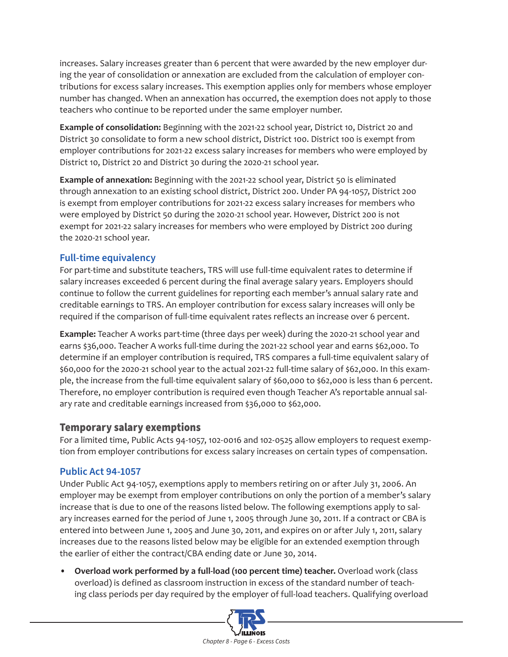increases. Salary increases greater than 6 percent that were awarded by the new employer during the year of consolidation or annexation are excluded from the calculation of employer contributions for excess salary increases. This exemption applies only for members whose employer number has changed. When an annexation has occurred, the exemption does not apply to those teachers who continue to be reported under the same employer number.

**Example of consolidation:** Beginning with the 2021-22 school year, District 10, District 20 and District 30 consolidate to form a new school district, District 100. District 100 is exempt from employer contributions for 2021-22 excess salary increases for members who were employed by District 10, District 20 and District 30 during the 2020-21 school year.

**Example of annexation:** Beginning with the 2021-22 school year, District 50 is eliminated through annexation to an existing school district, District 200. Under PA 94-1057, District 200 is exempt from employer contributions for 2021-22 excess salary increases for members who were employed by District 50 during the 2020-21 school year. However, District 200 is not exempt for 2021-22 salary increases for members who were employed by District 200 during the 2020-21 school year.

#### **Full-time equivalency**

For part-time and substitute teachers, TRS will use full-time equivalent rates to determine if salary increases exceeded 6 percent during the final average salary years. Employers should continue to follow the current guidelines for reporting each member's annual salary rate and creditable earnings to TRS. An employer contribution for excess salary increases will only be required if the comparison of full-time equivalent rates reflects an increase over 6 percent.

**Example:** Teacher A works part-time (three days per week) during the 2020-21 school year and earns \$36,000. Teacher A works full-time during the 2021-22 school year and earns \$62,000. To determine if an employer contribution is required, TRS compares a full-time equivalent salary of \$60,000 for the 2020-21 school year to the actual 2021-22 full-time salary of \$62,000. In this example, the increase from the full-time equivalent salary of \$60,000 to \$62,000 is less than 6 percent. Therefore, no employer contribution is required even though Teacher A's reportable annual salary rate and creditable earnings increased from \$36,000 to \$62,000.

#### Temporary salary exemptions

For a limited time, Public Acts 94-1057, 102-0016 and 102-0525 allow employers to request exemption from employer contributions for excess salary increases on certain types of compensation.

#### **Public Act 94-1057**

Under Public Act 94-1057, exemptions apply to members retiring on or after July 31, 2006. An employer may be exempt from employer contributions on only the portion of a member's salary increase that is due to one of the reasons listed below. The following exemptions apply to salary increases earned for the period of June 1, 2005 through June 30, 2011. If a contract or CBA is entered into between June 1, 2005 and June 30, 2011, and expires on or after July 1, 2011, salary increases due to the reasons listed below may be eligible for an extended exemption through the earlier of either the contract/CBA ending date or June 30, 2014.

• **Overload work performed by a full-load (100 percent time) teacher.** Overload work (class overload) is defined as classroom instruction in excess of the standard number of teaching class periods per day required by the employer of full-load teachers. Qualifying overload

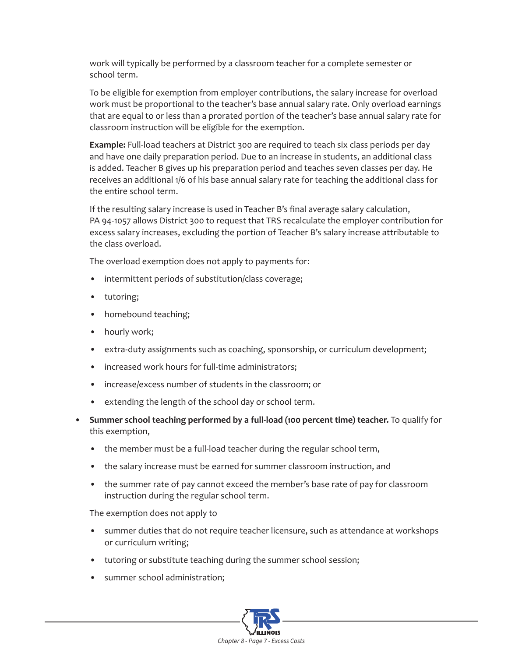work will typically be performed by a classroom teacher for a complete semester or school term.

To be eligible for exemption from employer contributions, the salary increase for overload work must be proportional to the teacher's base annual salary rate. Only overload earnings that are equal to or less than a prorated portion of the teacher's base annual salary rate for classroom instruction will be eligible for the exemption.

**Example:** Full-load teachers at District 300 are required to teach six class periods per day and have one daily preparation period. Due to an increase in students, an additional class is added. Teacher B gives up his preparation period and teaches seven classes per day. He receives an additional 1/6 of his base annual salary rate for teaching the additional class for the entire school term.

If the resulting salary increase is used in Teacher B's final average salary calculation, PA 94-1057 allows District 300 to request that TRS recalculate the employer contribution for excess salary increases, excluding the portion of Teacher B's salary increase attributable to the class overload.

The overload exemption does not apply to payments for:

- intermittent periods of substitution/class coverage;
- tutoring;
- homebound teaching;
- hourly work;
- extra-duty assignments such as coaching, sponsorship, or curriculum development;
- increased work hours for full-time administrators;
- increase/excess number of students in the classroom; or
- extending the length of the school day or school term.
- **Summer school teaching performed by a full-load (100 percent time) teacher.** To qualify for this exemption,
	- the member must be a full-load teacher during the regular school term,
	- the salary increase must be earned for summer classroom instruction, and
	- the summer rate of pay cannot exceed the member's base rate of pay for classroom instruction during the regular school term.

The exemption does not apply to

- summer duties that do not require teacher licensure, such as attendance at workshops or curriculum writing;
- tutoring or substitute teaching during the summer school session;
- summer school administration;

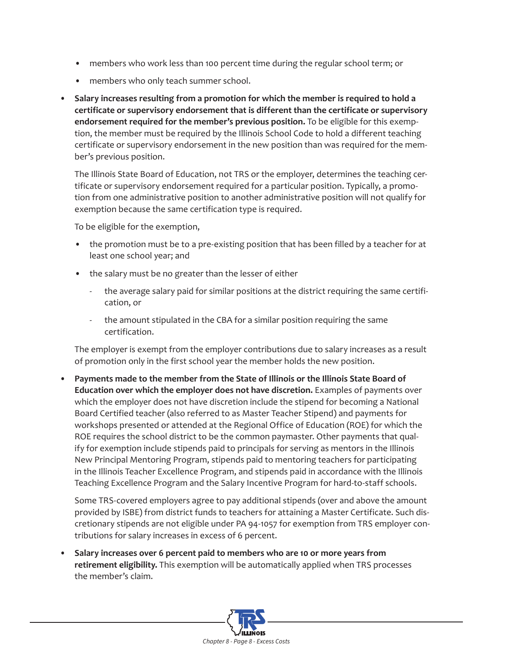- members who work less than 100 percent time during the regular school term; or
- members who only teach summer school.
- **Salary increases resulting from a promotion for which the member is required to hold a certificate or supervisory endorsement that is different than the certificate or supervisory endorsement required for the member's previous position.** To be eligible for this exemption, the member must be required by the Illinois School Code to hold a different teaching certificate or supervisory endorsement in the new position than was required for the member's previous position.

The Illinois State Board of Education, not TRS or the employer, determines the teaching certificate or supervisory endorsement required for a particular position. Typically, a promotion from one administrative position to another administrative position will not qualify for exemption because the same certification type is required.

To be eligible for the exemption,

- the promotion must be to a pre-existing position that has been filled by a teacher for at least one school year; and
- the salary must be no greater than the lesser of either
	- the average salary paid for similar positions at the district requiring the same certification, or
	- the amount stipulated in the CBA for a similar position requiring the same certification.

The employer is exempt from the employer contributions due to salary increases as a result of promotion only in the first school year the member holds the new position.

• **Payments made to the member from the State of Illinois or the Illinois State Board of Education over which the employer does not have discretion.** Examples of payments over which the employer does not have discretion include the stipend for becoming a National Board Certified teacher (also referred to as Master Teacher Stipend) and payments for workshops presented or attended at the Regional Office of Education (ROE) for which the ROE requires the school district to be the common paymaster. Other payments that qualify for exemption include stipends paid to principals for serving as mentors in the Illinois New Principal Mentoring Program, stipends paid to mentoring teachers for participating in the Illinois Teacher Excellence Program, and stipends paid in accordance with the Illinois Teaching Excellence Program and the Salary Incentive Program for hard-to-staff schools.

Some TRS-covered employers agree to pay additional stipends (over and above the amount provided by ISBE) from district funds to teachers for attaining a Master Certificate. Such discretionary stipends are not eligible under PA 94-1057 for exemption from TRS employer contributions for salary increases in excess of 6 percent.

• **Salary increases over 6 percent paid to members who are 10 or more years from retirement eligibility.** This exemption will be automatically applied when TRS processes the member's claim.

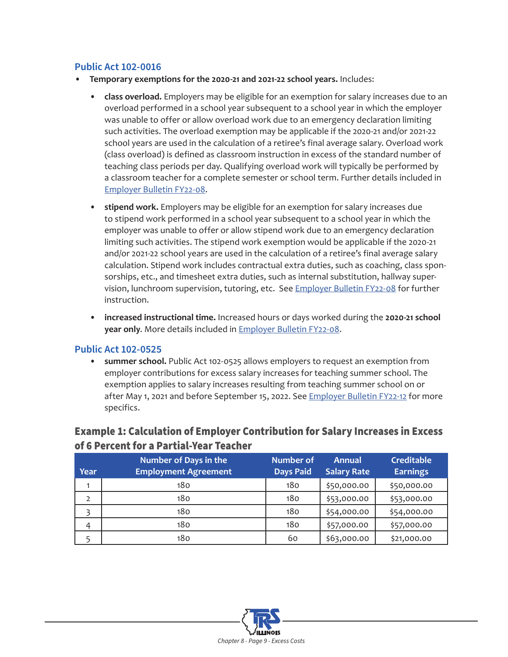#### <span id="page-8-0"></span>**Public Act 102-0016**

- **• Temporary exemptions for the 2020-21 and 2021-22 school years.** Includes:
	- **• class overload.** Employers may be eligible for an exemption for salary increases due to an overload performed in a school year subsequent to a school year in which the employer was unable to offer or allow overload work due to an emergency declaration limiting such activities. The overload exemption may be applicable if the 2020-21 and/or 2021-22 school years are used in the calculation of a retiree's final average salary. Overload work (class overload) is defined as classroom instruction in excess of the standard number of teaching class periods per day. Qualifying overload work will typically be performed by a classroom teacher for a complete semester or school term. Further details included in [Employer Bulletin FY22-08.](https://www.trsil.org/node/6173)
	- **• stipend work.** Employers may be eligible for an exemption for salary increases due to stipend work performed in a school year subsequent to a school year in which the employer was unable to offer or allow stipend work due to an emergency declaration limiting such activities. The stipend work exemption would be applicable if the 2020-21 and/or 2021-22 school years are used in the calculation of a retiree's final average salary calculation. Stipend work includes contractual extra duties, such as coaching, class sponsorships, etc., and timesheet extra duties, such as internal substitution, hallway supervision, lunchroom supervision, tutoring, etc. See [Employer Bulletin FY22-08](https://www.trsil.org/node/6173) for further instruction.
	- **• increased instructional time.** Increased hours or days worked during the **2020-21 school year only**. More details included in [Employer Bulletin FY22-08](https://www.trsil.org/node/6173).

#### **Public Act 102-0525**

**• summer school.** Public Act 102-0525 allows employers to request an exemption from employer contributions for excess salary increases for teaching summer school. The exemption applies to salary increases resulting from teaching summer school on or after May 1, 2021 and before September 15, 2022. See *Employer Bulletin FY22-12* for more specifics.

#### Example 1: Calculation of Employer Contribution for Salary Increases in Excess of 6 Percent for a Partial-Year Teacher

| Year           | <b>Number of Days in the</b><br><b>Employment Agreement</b> | <b>Number of</b><br><b>Days Paid</b> | <b>Annual</b><br><b>Salary Rate</b> | <b>Creditable</b><br><b>Earnings</b> |
|----------------|-------------------------------------------------------------|--------------------------------------|-------------------------------------|--------------------------------------|
|                | 18 <sub>0</sub>                                             | 180                                  | \$50,000.00                         | \$50,000.00                          |
| $\overline{2}$ | 180                                                         | 180                                  | \$53,000.00                         | \$53,000.00                          |
|                | 180                                                         | 180                                  | \$54,000.00                         | \$54,000.00                          |
| 4              | 180                                                         | 180                                  | \$57,000.00                         | \$57,000.00                          |
|                | 180                                                         | 60                                   | \$63,000.00                         | \$21,000.00                          |

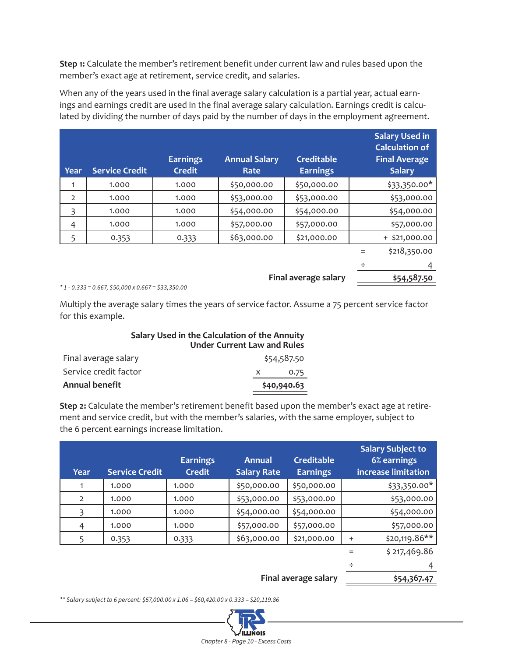**Step 1:** Calculate the member's retirement benefit under current law and rules based upon the member's exact age at retirement, service credit, and salaries.

When any of the years used in the final average salary calculation is a partial year, actual earnings and earnings credit are used in the final average salary calculation. Earnings credit is calculated by dividing the number of days paid by the number of days in the employment agreement.

| <b>Year</b>    | <b>Service Credit</b> | <b>Earnings</b><br><b>Credit</b> | <b>Annual Salary</b><br>Rate | <b>Creditable</b><br><b>Earnings</b> | <b>Salary Used in</b><br><b>Calculation of</b><br><b>Final Average</b><br><b>Salary</b> |
|----------------|-----------------------|----------------------------------|------------------------------|--------------------------------------|-----------------------------------------------------------------------------------------|
|                | 1.000                 | 1.000                            | \$50,000.00                  | \$50,000.00                          | \$33,350.00*                                                                            |
| $\overline{2}$ | 1.000                 | 1.000                            | \$53,000.00                  | \$53,000.00                          | \$53,000.00                                                                             |
| 3              | 1.000                 | 1.000                            | \$54,000.00                  | \$54,000.00                          | \$54,000.00                                                                             |
| 4              | 1.000                 | 1.000                            | \$57,000.00                  | \$57,000.00                          | \$57,000.00                                                                             |
| 5              | 0.353                 | 0.333                            | \$63,000.00                  | \$21,000.00                          | $+$ \$21,000.00                                                                         |
|                |                       |                                  |                              |                                      | \$218,350.00                                                                            |

÷ 4 **Final average salary \$54,587.50** 

*\* 1 - 0.333 = 0.667, \$50,000 x 0.667 = \$33,350.00*

Multiply the average salary times the years of service factor. Assume a 75 percent service factor for this example.

### **Salary Used in the Calculation of the Annuity Under Current Law and Rules**

| <b>Annual benefit</b> | \$40,940.63 |
|-----------------------|-------------|
| Service credit factor | 0.75        |
| Final average salary  | \$54,587.50 |

**Step 2:** Calculate the member's retirement benefit based upon the member's exact age at retirement and service credit, but with the member's salaries, with the same employer, subject to the 6 percent earnings increase limitation.

| <b>Year</b>    | <b>Service Credit</b> | <b>Earnings</b><br><b>Credit</b> | <b>Annual</b><br><b>Salary Rate</b> | <b>Creditable</b><br><b>Earnings</b> |           | <b>Salary Subject to</b><br>6% earnings<br>increase limitation |
|----------------|-----------------------|----------------------------------|-------------------------------------|--------------------------------------|-----------|----------------------------------------------------------------|
| 1              | 1.000                 | 1.000                            | \$50,000.00                         | \$50,000.00                          |           | $$33,350.00*$                                                  |
| $\overline{2}$ | 1.000                 | 1.000                            | \$53,000.00                         | \$53,000.00                          |           | \$53,000.00                                                    |
| 3              | 1.000                 | 1.000                            | \$54,000.00                         | \$54,000.00                          |           | \$54,000.00                                                    |
| 4              | 1.000                 | 1.000                            | \$57,000.00                         | \$57,000.00                          |           | \$57,000.00                                                    |
| 5              | 0.353                 | 0.333                            | \$63,000.00                         | \$21,000.00                          | $\ddot{}$ | \$20,119.86**                                                  |
|                |                       |                                  |                                     |                                      |           | \$217,469.86                                                   |
|                |                       |                                  |                                     |                                      | ÷         | 4                                                              |

**Final average salary** 

*\*\* Salary subject to 6 percent: \$57,000.00 x 1.06 = \$60,420.00 x 0.333 = \$20,119.86*

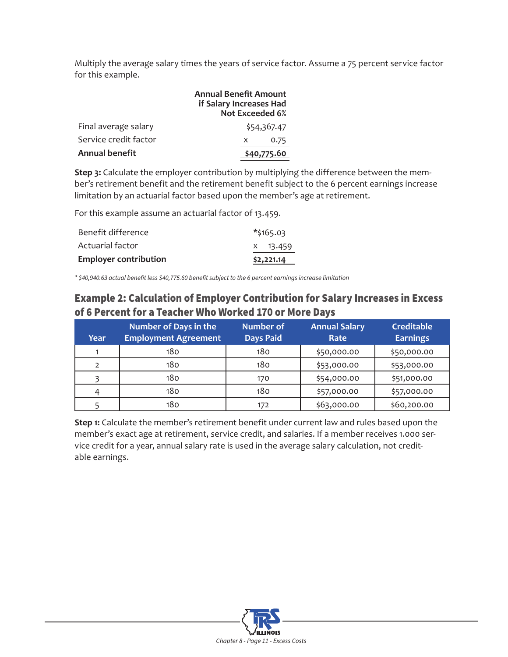Multiply the average salary times the years of service factor. Assume a 75 percent service factor for this example.

|                       | <b>Annual Benefit Amount</b><br>if Salary Increases Had<br><b>Not Exceeded 6%</b> |
|-----------------------|-----------------------------------------------------------------------------------|
| Final average salary  | \$54,367.47                                                                       |
| Service credit factor | 0.75<br>X                                                                         |
| <b>Annual benefit</b> | \$40,775.60                                                                       |

**Step 3:** Calculate the employer contribution by multiplying the difference between the member's retirement benefit and the retirement benefit subject to the 6 percent earnings increase limitation by an actuarial factor based upon the member's age at retirement.

For this example assume an actuarial factor of 13.459.

| <b>Employer contribution</b> | \$2,221.14 |
|------------------------------|------------|
| Actuarial factor             | x 13.459   |
| Benefit difference           | *\$165.03  |

*\* \$40,940.63 actual benefit less \$40,775.60 benefit subject to the 6 percent earnings increase limitation*

### Example 2: Calculation of Employer Contribution for Salary Increases in Excess of 6 Percent for a Teacher Who Worked 170 or More Days

| Year           | <b>Number of Days in the</b><br><b>Employment Agreement</b> | <b>Number of</b><br><b>Days Paid</b> | <b>Annual Salary</b><br>Rate | <b>Creditable</b><br><b>Earnings</b> |
|----------------|-------------------------------------------------------------|--------------------------------------|------------------------------|--------------------------------------|
|                | 180                                                         | 180                                  | \$50,000.00                  | \$50,000.00                          |
| $\overline{2}$ | 180                                                         | 180                                  | \$53,000.00                  | \$53,000.00                          |
|                | 180                                                         | 170                                  | \$54,000.00                  | \$51,000.00                          |
|                | 180                                                         | 180                                  | \$57,000.00                  | \$57,000.00                          |
|                | 180                                                         | 172                                  | \$63,000.00                  | \$60,200.00                          |

**Step 1:** Calculate the member's retirement benefit under current law and rules based upon the member's exact age at retirement, service credit, and salaries. If a member receives 1.000 service credit for a year, annual salary rate is used in the average salary calculation, not creditable earnings.

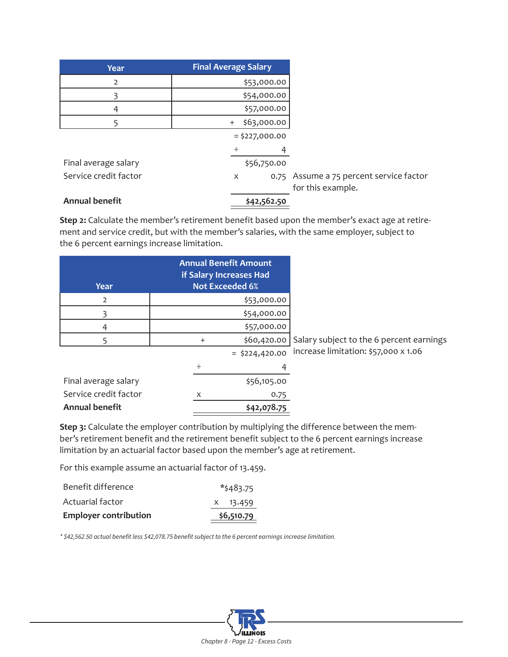| <b>Year</b>           | <b>Final Average Salary</b> |                                                              |
|-----------------------|-----------------------------|--------------------------------------------------------------|
| $\overline{2}$        | \$53,000.00                 |                                                              |
|                       | \$54,000.00                 |                                                              |
| 4                     | \$57,000.00                 |                                                              |
| 5                     | \$63,000.00<br>$^{+}$       |                                                              |
|                       | $=$ \$227,000.00            |                                                              |
|                       | ÷                           |                                                              |
| Final average salary  | \$56,750.00                 |                                                              |
| Service credit factor | X                           | 0.75 Assume a 75 percent service factor<br>for this example. |
| <b>Annual benefit</b> | \$42,562.50                 |                                                              |

**Step 2:** Calculate the member's retirement benefit based upon the member's exact age at retirement and service credit, but with the member's salaries, with the same employer, subject to the 6 percent earnings increase limitation.

| Year                  |             | <b>Annual Benefit Amount</b><br>if Salary Increases Had<br><b>Not Exceeded 6%</b> |                                                      |
|-----------------------|-------------|-----------------------------------------------------------------------------------|------------------------------------------------------|
| $\overline{2}$        |             | \$53,000.00                                                                       |                                                      |
|                       |             | \$54,000.00                                                                       |                                                      |
| 4                     | \$57,000.00 |                                                                                   |                                                      |
|                       | $\ddot{}$   |                                                                                   | \$60,420.00 Salary subject to the 6 percent earnings |
|                       |             | $=$ \$224,420.00                                                                  | increase limitation: \$57,000 x 1.06                 |
|                       | ÷           |                                                                                   |                                                      |
| Final average salary  |             | \$56,105.00                                                                       |                                                      |
| Service credit factor | X           | 0.75                                                                              |                                                      |

**Step 3:** Calculate the employer contribution by multiplying the difference between the member's retirement benefit and the retirement benefit subject to the 6 percent earnings increase limitation by an actuarial factor based upon the member's age at retirement.

For this example assume an actuarial factor of 13.459.

Annual benefit **\$42,078.75** 

| <b>Employer contribution</b> | \$6,510.79   |
|------------------------------|--------------|
| Actuarial factor             | $X = 13.459$ |
| Benefit difference           | $*$ \$483.75 |

*\* \$42,562.50 actual benefit less \$42,078.75 benefit subject to the 6 percent earnings increase limitation.*

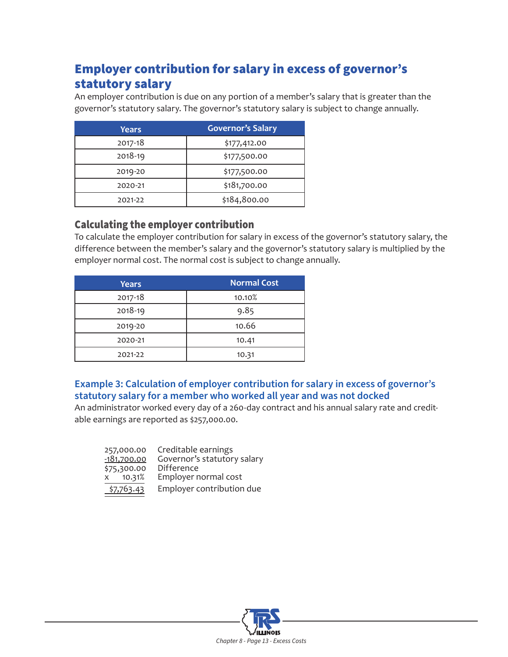# <span id="page-12-0"></span>Employer contribution for salary in excess of governor's statutory salary

An employer contribution is due on any portion of a member's salary that is greater than the governor's statutory salary. The governor's statutory salary is subject to change annually.

| Years   | <b>Governor's Salary</b> |
|---------|--------------------------|
| 2017-18 | \$177,412.00             |
| 2018-19 | \$177,500.00             |
| 2019-20 | \$177,500.00             |
| 2020-21 | \$181,700.00             |
| 2021-22 | \$184,800.00             |

### Calculating the employer contribution

To calculate the employer contribution for salary in excess of the governor's statutory salary, the difference between the member's salary and the governor's statutory salary is multiplied by the employer normal cost. The normal cost is subject to change annually.

| <b>Years</b> | <b>Normal Cost</b> |
|--------------|--------------------|
| 2017-18      | 10.10%             |
| 2018-19      | 9.85               |
| 2019-20      | 10.66              |
| 2020-21      | 10.41              |
| 2021-22      | 10.31              |

#### **Example 3: Calculation of employer contribution for salary in excess of governor's statutory salary for a member who worked all year and was not docked**

An administrator worked every day of a 260-day contract and his annual salary rate and creditable earnings are reported as \$257,000.00.

| 257,000.00    | Creditable earnings         |
|---------------|-----------------------------|
| $-181,700.00$ | Governor's statutory salary |
| \$75,300.00   | Difference                  |
| X 10.31%      | Employer normal cost        |
| \$7,763.43    | Employer contribution due   |

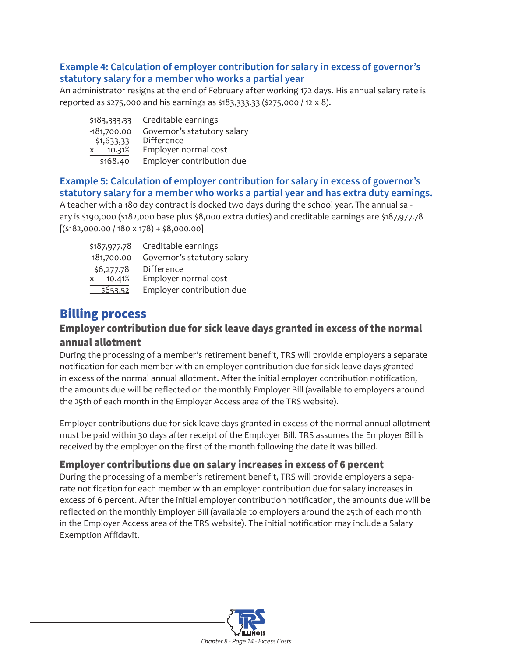#### <span id="page-13-0"></span>**Example 4: Calculation of employer contribution for salary in excess of governor's statutory salary for a member who works a partial year**

An administrator resigns at the end of February after working 172 days. His annual salary rate is reported as \$275,000 and his earnings as \$183,333.33 (\$275,000 / 12 x 8).

| \$183,333.33           | Creditable earnings         |
|------------------------|-----------------------------|
| $-181,700.00$          | Governor's statutory salary |
| \$1,633,33             | Difference                  |
| 10.31%<br>$\mathsf{X}$ | Employer normal cost        |
| \$168.40               | Employer contribution due   |

#### **Example 5: Calculation of employer contribution for salary in excess of governor's statutory salary for a member who works a partial year and has extra duty earnings.**

A teacher with a 180 day contract is docked two days during the school year. The annual salary is \$190,000 (\$182,000 base plus \$8,000 extra duties) and creditable earnings are \$187,977.78  $[($182,000.00 / 180 \times 178) + $8,000.00]$ 

| \$187,977.78           | Creditable earnings         |
|------------------------|-----------------------------|
| $-181,700.00$          | Governor's statutory salary |
| \$6,277.78             | <b>Difference</b>           |
| 10.41%<br>$\mathsf{X}$ | Employer normal cost        |
| \$653.52               | Employer contribution due   |

# Billing process

#### Employer contribution due for sick leave days granted in excess of the normal annual allotment

During the processing of a member's retirement benefit, TRS will provide employers a separate notification for each member with an employer contribution due for sick leave days granted in excess of the normal annual allotment. After the initial employer contribution notification, the amounts due will be reflected on the monthly Employer Bill (available to employers around the 25th of each month in the Employer Access area of the TRS website).

Employer contributions due for sick leave days granted in excess of the normal annual allotment must be paid within 30 days after receipt of the Employer Bill. TRS assumes the Employer Bill is received by the employer on the first of the month following the date it was billed.

#### Employer contributions due on salary increases in excess of 6 percent

During the processing of a member's retirement benefit, TRS will provide employers a separate notification for each member with an employer contribution due for salary increases in excess of 6 percent. After the initial employer contribution notification, the amounts due will be reflected on the monthly Employer Bill (available to employers around the 25th of each month in the Employer Access area of the TRS website). The initial notification may include a Salary Exemption Affidavit.